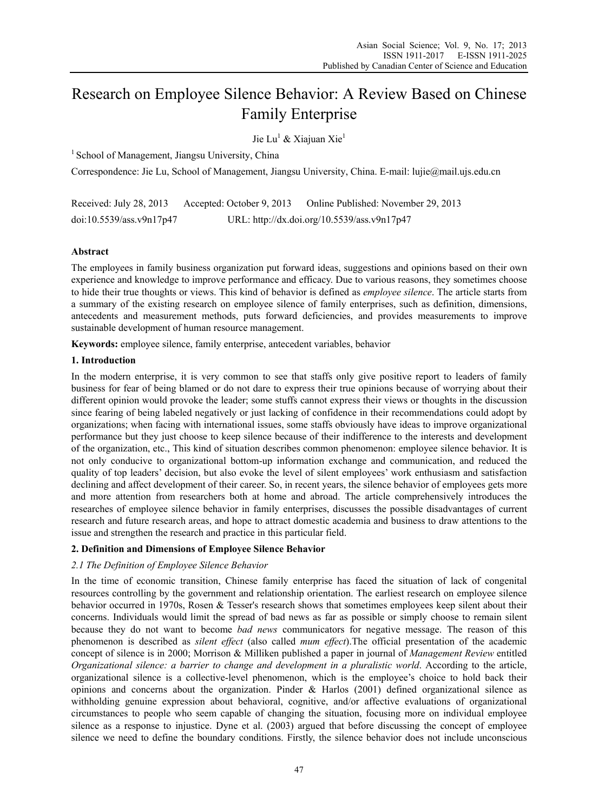# Research on Employee Silence Behavior: A Review Based on Chinese Family Enterprise

Jie Lu<sup>1</sup> & Xiajuan Xie<sup>1</sup>

 $<sup>1</sup>$  School of Management, Jiangsu University, China</sup>

Correspondence: Jie Lu, School of Management, Jiangsu University, China. E-mail: lujie@mail.ujs.edu.cn

Received: July 28, 2013 Accepted: October 9, 2013 Online Published: November 29, 2013 doi:10.5539/ass.v9n17p47 URL: http://dx.doi.org/10.5539/ass.v9n17p47

# **Abstract**

The employees in family business organization put forward ideas, suggestions and opinions based on their own experience and knowledge to improve performance and efficacy. Due to various reasons, they sometimes choose to hide their true thoughts or views. This kind of behavior is defined as *employee silence*. The article starts from a summary of the existing research on employee silence of family enterprises, such as definition, dimensions, antecedents and measurement methods, puts forward deficiencies, and provides measurements to improve sustainable development of human resource management.

**Keywords:** employee silence, family enterprise, antecedent variables, behavior

# **1. Introduction**

In the modern enterprise, it is very common to see that staffs only give positive report to leaders of family business for fear of being blamed or do not dare to express their true opinions because of worrying about their different opinion would provoke the leader; some stuffs cannot express their views or thoughts in the discussion since fearing of being labeled negatively or just lacking of confidence in their recommendations could adopt by organizations; when facing with international issues, some staffs obviously have ideas to improve organizational performance but they just choose to keep silence because of their indifference to the interests and development of the organization, etc., This kind of situation describes common phenomenon: employee silence behavior. It is not only conducive to organizational bottom-up information exchange and communication, and reduced the quality of top leaders' decision, but also evoke the level of silent employees' work enthusiasm and satisfaction declining and affect development of their career. So, in recent years, the silence behavior of employees gets more and more attention from researchers both at home and abroad. The article comprehensively introduces the researches of employee silence behavior in family enterprises, discusses the possible disadvantages of current research and future research areas, and hope to attract domestic academia and business to draw attentions to the issue and strengthen the research and practice in this particular field.

# **2. Definition and Dimensions of Employee Silence Behavior**

# *2.1 The Definition of Employee Silence Behavior*

In the time of economic transition, Chinese family enterprise has faced the situation of lack of congenital resources controlling by the government and relationship orientation. The earliest research on employee silence behavior occurred in 1970s, Rosen & Tesser's research shows that sometimes employees keep silent about their concerns. Individuals would limit the spread of bad news as far as possible or simply choose to remain silent because they do not want to become *bad news* communicators for negative message. The reason of this phenomenon is described as *silent effect* (also called *mum effect*).The official presentation of the academic concept of silence is in 2000; Morrison & Milliken published a paper in journal of *Management Review* entitled *Organizational silence: a barrier to change and development in a pluralistic world*. According to the article, organizational silence is a collective-level phenomenon, which is the employee's choice to hold back their opinions and concerns about the organization. Pinder  $\&$  Harlos (2001) defined organizational silence as withholding genuine expression about behavioral, cognitive, and/or affective evaluations of organizational circumstances to people who seem capable of changing the situation, focusing more on individual employee silence as a response to injustice. Dyne et al. (2003) argued that before discussing the concept of employee silence we need to define the boundary conditions. Firstly, the silence behavior does not include unconscious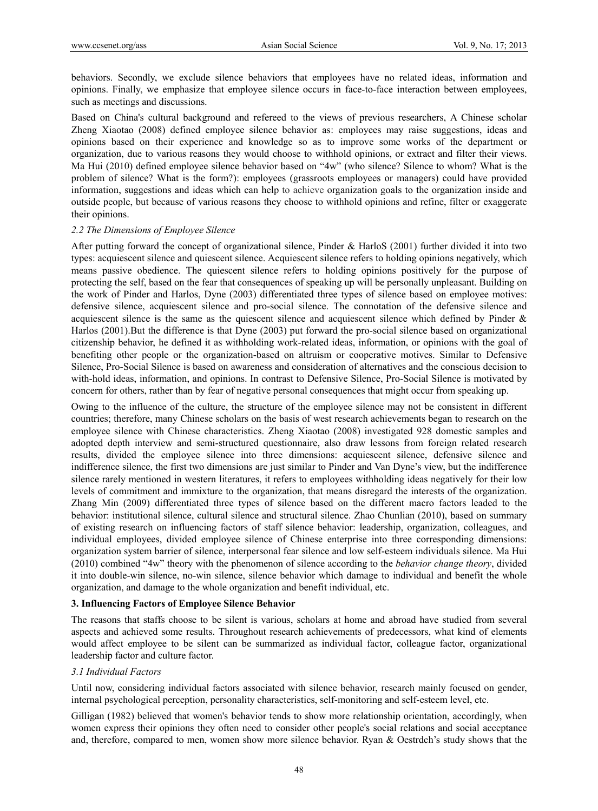behaviors. Secondly, we exclude silence behaviors that employees have no related ideas, information and opinions. Finally, we emphasize that employee silence occurs in face-to-face interaction between employees, such as meetings and discussions.

Based on China's cultural background and refereed to the views of previous researchers, A Chinese scholar Zheng Xiaotao (2008) defined employee silence behavior as: employees may raise suggestions, ideas and opinions based on their experience and knowledge so as to improve some works of the department or organization, due to various reasons they would choose to withhold opinions, or extract and filter their views. Ma Hui (2010) defined employee silence behavior based on "4w" (who silence? Silence to whom? What is the problem of silence? What is the form?): employees (grassroots employees or managers) could have provided information, suggestions and ideas which can help to achieve organization goals to the organization inside and outside people, but because of various reasons they choose to withhold opinions and refine, filter or exaggerate their opinions.

#### *2.2 The Dimensions of Employee Silence*

After putting forward the concept of organizational silence, Pinder & HarloS (2001) further divided it into two types: acquiescent silence and quiescent silence. Acquiescent silence refers to holding opinions negatively, which means passive obedience. The quiescent silence refers to holding opinions positively for the purpose of protecting the self, based on the fear that consequences of speaking up will be personally unpleasant. Building on the work of Pinder and Harlos, Dyne (2003) differentiated three types of silence based on employee motives: defensive silence, acquiescent silence and pro-social silence. The connotation of the defensive silence and acquiescent silence is the same as the quiescent silence and acquiescent silence which defined by Pinder & Harlos (2001).But the difference is that Dyne (2003) put forward the pro-social silence based on organizational citizenship behavior, he defined it as withholding work-related ideas, information, or opinions with the goal of benefiting other people or the organization-based on altruism or cooperative motives. Similar to Defensive Silence, Pro-Social Silence is based on awareness and consideration of alternatives and the conscious decision to with-hold ideas, information, and opinions. In contrast to Defensive Silence, Pro-Social Silence is motivated by concern for others, rather than by fear of negative personal consequences that might occur from speaking up.

Owing to the influence of the culture, the structure of the employee silence may not be consistent in different countries; therefore, many Chinese scholars on the basis of west research achievements began to research on the employee silence with Chinese characteristics. Zheng Xiaotao (2008) investigated 928 domestic samples and adopted depth interview and semi-structured questionnaire, also draw lessons from foreign related research results, divided the employee silence into three dimensions: acquiescent silence, defensive silence and indifference silence, the first two dimensions are just similar to Pinder and Van Dyne's view, but the indifference silence rarely mentioned in western literatures, it refers to employees withholding ideas negatively for their low levels of commitment and immixture to the organization, that means disregard the interests of the organization. Zhang Min (2009) differentiated three types of silence based on the different macro factors leaded to the behavior: institutional silence, cultural silence and structural silence. Zhao Chunlian (2010), based on summary of existing research on influencing factors of staff silence behavior: leadership, organization, colleagues, and individual employees, divided employee silence of Chinese enterprise into three corresponding dimensions: organization system barrier of silence, interpersonal fear silence and low self-esteem individuals silence. Ma Hui (2010) combined "4w" theory with the phenomenon of silence according to the *behavior change theory*, divided it into double-win silence, no-win silence, silence behavior which damage to individual and benefit the whole organization, and damage to the whole organization and benefit individual, etc.

#### **3. Influencing Factors of Employee Silence Behavior**

The reasons that staffs choose to be silent is various, scholars at home and abroad have studied from several aspects and achieved some results. Throughout research achievements of predecessors, what kind of elements would affect employee to be silent can be summarized as individual factor, colleague factor, organizational leadership factor and culture factor.

## *3.1 Individual Factors*

Until now, considering individual factors associated with silence behavior, research mainly focused on gender, internal psychological perception, personality characteristics, self-monitoring and self-esteem level, etc.

Gilligan (1982) believed that women's behavior tends to show more relationship orientation, accordingly, when women express their opinions they often need to consider other people's social relations and social acceptance and, therefore, compared to men, women show more silence behavior. Ryan  $\&$  Oestrdch's study shows that the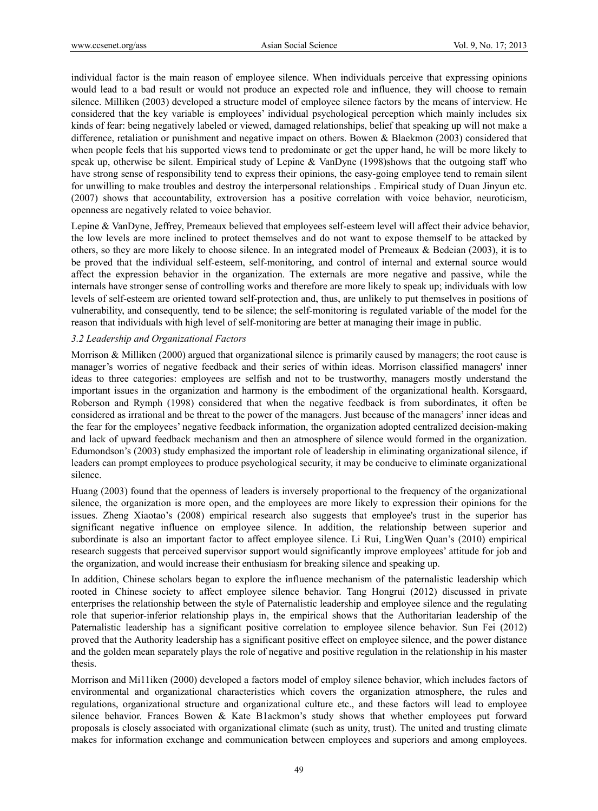individual factor is the main reason of employee silence. When individuals perceive that expressing opinions would lead to a bad result or would not produce an expected role and influence, they will choose to remain silence. Milliken (2003) developed a structure model of employee silence factors by the means of interview. He considered that the key variable is employees' individual psychological perception which mainly includes six kinds of fear: being negatively labeled or viewed, damaged relationships, belief that speaking up will not make a difference, retaliation or punishment and negative impact on others. Bowen & Blaekmon (2003) considered that when people feels that his supported views tend to predominate or get the upper hand, he will be more likely to speak up, otherwise be silent. Empirical study of Lepine & VanDyne (1998)shows that the outgoing staff who have strong sense of responsibility tend to express their opinions, the easy-going employee tend to remain silent for unwilling to make troubles and destroy the interpersonal relationships . Empirical study of Duan Jinyun etc. (2007) shows that accountability, extroversion has a positive correlation with voice behavior, neuroticism, openness are negatively related to voice behavior.

Lepine & VanDyne, Jeffrey, Premeaux believed that employees self-esteem level will affect their advice behavior, the low levels are more inclined to protect themselves and do not want to expose themself to be attacked by others, so they are more likely to choose silence. In an integrated model of Premeaux & Bedeian (2003), it is to be proved that the individual self-esteem, self-monitoring, and control of internal and external source would affect the expression behavior in the organization. The externals are more negative and passive, while the internals have stronger sense of controlling works and therefore are more likely to speak up; individuals with low levels of self-esteem are oriented toward self-protection and, thus, are unlikely to put themselves in positions of vulnerability, and consequently, tend to be silence; the self-monitoring is regulated variable of the model for the reason that individuals with high level of self-monitoring are better at managing their image in public.

#### *3.2 Leadership and Organizational Factors*

Morrison & Milliken (2000) argued that organizational silence is primarily caused by managers; the root cause is manager's worries of negative feedback and their series of within ideas. Morrison classified managers' inner ideas to three categories: employees are selfish and not to be trustworthy, managers mostly understand the important issues in the organization and harmony is the embodiment of the organizational health. Korsgaard, Roberson and Rymph (1998) considered that when the negative feedback is from subordinates, it often be considered as irrational and be threat to the power of the managers. Just because of the managers' inner ideas and the fear for the employees' negative feedback information, the organization adopted centralized decision-making and lack of upward feedback mechanism and then an atmosphere of silence would formed in the organization. Edumondson's (2003) study emphasized the important role of leadership in eliminating organizational silence, if leaders can prompt employees to produce psychological security, it may be conducive to eliminate organizational silence.

Huang (2003) found that the openness of leaders is inversely proportional to the frequency of the organizational silence, the organization is more open, and the employees are more likely to expression their opinions for the issues. Zheng Xiaotao's (2008) empirical research also suggests that employee's trust in the superior has significant negative influence on employee silence. In addition, the relationship between superior and subordinate is also an important factor to affect employee silence. Li Rui, LingWen Quan's (2010) empirical research suggests that perceived supervisor support would significantly improve employees' attitude for job and the organization, and would increase their enthusiasm for breaking silence and speaking up.

In addition, Chinese scholars began to explore the influence mechanism of the paternalistic leadership which rooted in Chinese society to affect employee silence behavior. Tang Hongrui (2012) discussed in private enterprises the relationship between the style of Paternalistic leadership and employee silence and the regulating role that superior-inferior relationship plays in, the empirical shows that the Authoritarian leadership of the Paternalistic leadership has a significant positive correlation to employee silence behavior. Sun Fei (2012) proved that the Authority leadership has a significant positive effect on employee silence, and the power distance and the golden mean separately plays the role of negative and positive regulation in the relationship in his master thesis.

Morrison and Mi11iken (2000) developed a factors model of employ silence behavior, which includes factors of environmental and organizational characteristics which covers the organization atmosphere, the rules and regulations, organizational structure and organizational culture etc., and these factors will lead to employee silence behavior. Frances Bowen & Kate B1ackmon's study shows that whether employees put forward proposals is closely associated with organizational climate (such as unity, trust). The united and trusting climate makes for information exchange and communication between employees and superiors and among employees.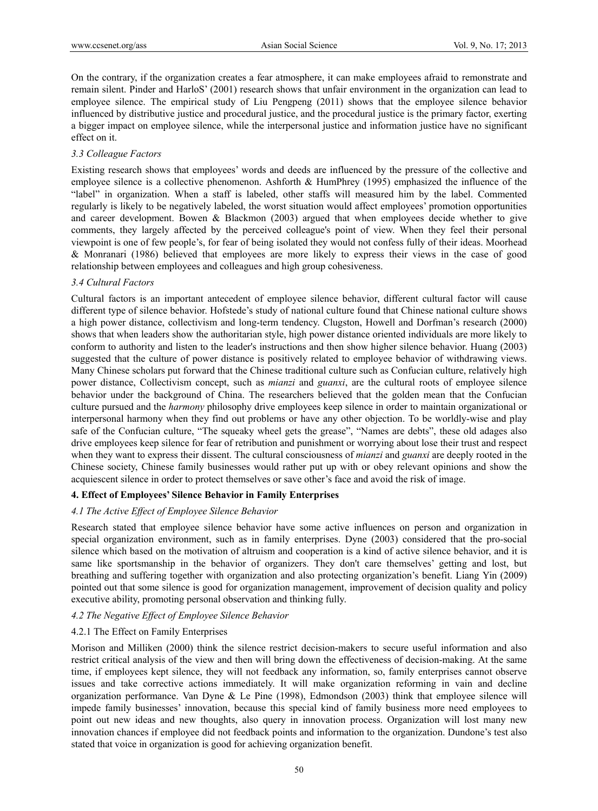On the contrary, if the organization creates a fear atmosphere, it can make employees afraid to remonstrate and remain silent. Pinder and HarloS' (2001) research shows that unfair environment in the organization can lead to employee silence. The empirical study of Liu Pengpeng (2011) shows that the employee silence behavior influenced by distributive justice and procedural justice, and the procedural justice is the primary factor, exerting a bigger impact on employee silence, while the interpersonal justice and information justice have no significant effect on it.

## *3.3 Colleague Factors*

Existing research shows that employees' words and deeds are influenced by the pressure of the collective and employee silence is a collective phenomenon. Ashforth & HumPhrey (1995) emphasized the influence of the "label" in organization. When a staff is labeled, other staffs will measured him by the label. Commented regularly is likely to be negatively labeled, the worst situation would affect employees' promotion opportunities and career development. Bowen & Blackmon (2003) argued that when employees decide whether to give comments, they largely affected by the perceived colleague's point of view. When they feel their personal viewpoint is one of few people's, for fear of being isolated they would not confess fully of their ideas. Moorhead & Monranari (1986) believed that employees are more likely to express their views in the case of good relationship between employees and colleagues and high group cohesiveness.

# *3.4 Cultural Factors*

Cultural factors is an important antecedent of employee silence behavior, different cultural factor will cause different type of silence behavior. Hofstede's study of national culture found that Chinese national culture shows a high power distance, collectivism and long-term tendency. Clugston, Howell and Dorfman's research (2000) shows that when leaders show the authoritarian style, high power distance oriented individuals are more likely to conform to authority and listen to the leader's instructions and then show higher silence behavior. Huang (2003) suggested that the culture of power distance is positively related to employee behavior of withdrawing views. Many Chinese scholars put forward that the Chinese traditional culture such as Confucian culture, relatively high power distance, Collectivism concept, such as *mianzi* and *guanxi*, are the cultural roots of employee silence behavior under the background of China. The researchers believed that the golden mean that the Confucian culture pursued and the *harmony* philosophy drive employees keep silence in order to maintain organizational or interpersonal harmony when they find out problems or have any other objection. To be worldly-wise and play safe of the Confucian culture, "The squeaky wheel gets the grease", "Names are debts", these old adages also drive employees keep silence for fear of retribution and punishment or worrying about lose their trust and respect when they want to express their dissent. The cultural consciousness of *mianzi* and *guanxi* are deeply rooted in the Chinese society, Chinese family businesses would rather put up with or obey relevant opinions and show the acquiescent silence in order to protect themselves or save other's face and avoid the risk of image.

# **4. Effect of Employees' Silence Behavior in Family Enterprises**

# *4.1 The Active Effect of Employee Silence Behavior*

Research stated that employee silence behavior have some active influences on person and organization in special organization environment, such as in family enterprises. Dyne (2003) considered that the pro-social silence which based on the motivation of altruism and cooperation is a kind of active silence behavior, and it is same like sportsmanship in the behavior of organizers. They don't care themselves' getting and lost, but breathing and suffering together with organization and also protecting organization's benefit. Liang Yin (2009) pointed out that some silence is good for organization management, improvement of decision quality and policy executive ability, promoting personal observation and thinking fully.

#### *4.2 The Negative Effect of Employee Silence Behavior*

#### 4.2.1 The Effect on Family Enterprises

Morison and Milliken (2000) think the silence restrict decision-makers to secure useful information and also restrict critical analysis of the view and then will bring down the effectiveness of decision-making. At the same time, if employees kept silence, they will not feedback any information, so, family enterprises cannot observe issues and take corrective actions immediately. It will make organization reforming in vain and decline organization performance. Van Dyne & Le Pine (1998), Edmondson (2003) think that employee silence will impede family businesses' innovation, because this special kind of family business more need employees to point out new ideas and new thoughts, also query in innovation process. Organization will lost many new innovation chances if employee did not feedback points and information to the organization. Dundone's test also stated that voice in organization is good for achieving organization benefit.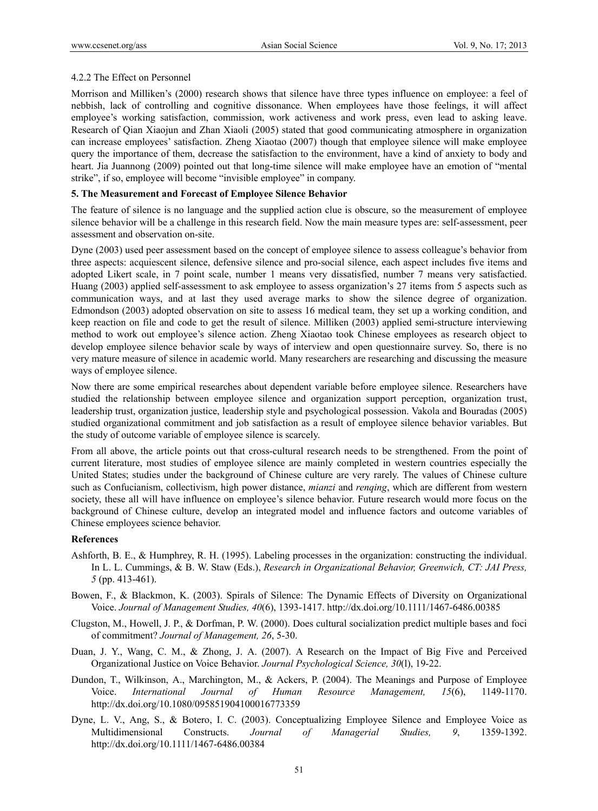# 4.2.2 The Effect on Personnel

Morrison and Milliken's (2000) research shows that silence have three types influence on employee: a feel of nebbish, lack of controlling and cognitive dissonance. When employees have those feelings, it will affect employee's working satisfaction, commission, work activeness and work press, even lead to asking leave. Research of Qian Xiaojun and Zhan Xiaoli (2005) stated that good communicating atmosphere in organization can increase employees' satisfaction. Zheng Xiaotao (2007) though that employee silence will make employee query the importance of them, decrease the satisfaction to the environment, have a kind of anxiety to body and heart. Jia Juannong (2009) pointed out that long-time silence will make employee have an emotion of "mental strike", if so, employee will become "invisible employee" in company.

## **5. The Measurement and Forecast of Employee Silence Behavior**

The feature of silence is no language and the supplied action clue is obscure, so the measurement of employee silence behavior will be a challenge in this research field. Now the main measure types are: self-assessment, peer assessment and observation on-site.

Dyne (2003) used peer assessment based on the concept of employee silence to assess colleague's behavior from three aspects: acquiescent silence, defensive silence and pro-social silence, each aspect includes five items and adopted Likert scale, in 7 point scale, number 1 means very dissatisfied, number 7 means very satisfactied. Huang (2003) applied self-assessment to ask employee to assess organization's 27 items from 5 aspects such as communication ways, and at last they used average marks to show the silence degree of organization. Edmondson (2003) adopted observation on site to assess 16 medical team, they set up a working condition, and keep reaction on file and code to get the result of silence. Milliken (2003) applied semi-structure interviewing method to work out employee's silence action. Zheng Xiaotao took Chinese employees as research object to develop employee silence behavior scale by ways of interview and open questionnaire survey. So, there is no very mature measure of silence in academic world. Many researchers are researching and discussing the measure ways of employee silence.

Now there are some empirical researches about dependent variable before employee silence. Researchers have studied the relationship between employee silence and organization support perception, organization trust, leadership trust, organization justice, leadership style and psychological possession. Vakola and Bouradas (2005) studied organizational commitment and job satisfaction as a result of employee silence behavior variables. But the study of outcome variable of employee silence is scarcely.

From all above, the article points out that cross-cultural research needs to be strengthened. From the point of current literature, most studies of employee silence are mainly completed in western countries especially the United States; studies under the background of Chinese culture are very rarely. The values of Chinese culture such as Confucianism, collectivism, high power distance, *mianzi* and *renqing*, which are different from western society, these all will have influence on employee's silence behavior. Future research would more focus on the background of Chinese culture, develop an integrated model and influence factors and outcome variables of Chinese employees science behavior.

#### **References**

- Ashforth, B. E., & Humphrey, R. H. (1995). Labeling processes in the organization: constructing the individual. In L. L. Cummings, & B. W. Staw (Eds.), *Research in Organizational Behavior, Greenwich, CT: JAI Press, 5* (pp. 413-461).
- Bowen, F., & Blackmon, K. (2003). Spirals of Silence: The Dynamic Effects of Diversity on Organizational Voice. *Journal of Management Studies, 40*(6), 1393-1417. http://dx.doi.org/10.1111/1467-6486.00385
- Clugston, M., Howell, J. P., & Dorfman, P. W. (2000). Does cultural socialization predict multiple bases and foci of commitment? *Journal of Management, 26*, 5-30.
- Duan, J. Y., Wang, C. M., & Zhong, J. A. (2007). A Research on the Impact of Big Five and Perceived Organizational Justice on Voice Behavior. *Journal Psychological Science, 30*(l), 19-22.
- Dundon, T., Wilkinson, A., Marchington, M., & Ackers, P. (2004). The Meanings and Purpose of Employee Voice. *International Journal of Human Resource Management, 15*(6), 1149-1170. http://dx.doi.org/10.1080/095851904100016773359
- Dyne, L. V., Ang, S., & Botero, I. C. (2003). Conceptualizing Employee Silence and Employee Voice as Multidimensional Constructs. *Journal of Managerial Studies, 9*, 1359-1392. http://dx.doi.org/10.1111/1467-6486.00384